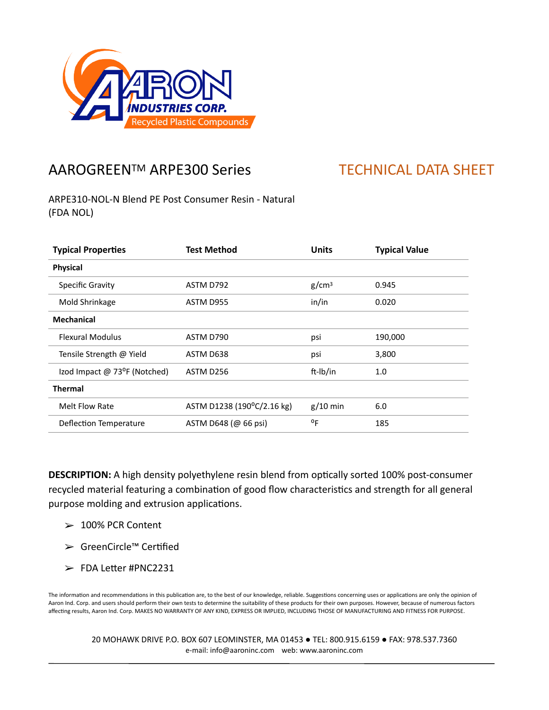

## AAROGREEN™ ARPE300 Series TECHNICAL DATA SHEET

ARPE310-NOL-N Blend PE Post Consumer Resin - Natural (FDA NOL)

| <b>Typical Properties</b>    | <b>Test Method</b>         | <b>Units</b>      | <b>Typical Value</b> |
|------------------------------|----------------------------|-------------------|----------------------|
| <b>Physical</b>              |                            |                   |                      |
| Specific Gravity             | ASTM D792                  | g/cm <sup>3</sup> | 0.945                |
| Mold Shrinkage               | ASTM D955                  | in/in             | 0.020                |
| <b>Mechanical</b>            |                            |                   |                      |
| <b>Flexural Modulus</b>      | ASTM D790                  | psi               | 190,000              |
| Tensile Strength @ Yield     | ASTM D638                  | psi               | 3,800                |
| Izod Impact @ 73°F (Notched) | ASTM D256                  | ft-Ib/in          | 1.0                  |
| <b>Thermal</b>               |                            |                   |                      |
| Melt Flow Rate               | ASTM D1238 (190°C/2.16 kg) | $g/10$ min        | 6.0                  |
| Deflection Temperature       | ASTM D648 (@ 66 psi)       | οF                | 185                  |

**DESCRIPTION:** A high density polyethylene resin blend from optically sorted 100% post-consumer recycled material featuring a combination of good flow characteristics and strength for all general purpose molding and extrusion applications.

- $> 100\%$  PCR Content
- ➢ GreenCircle™ CerKfied
- $\ge$  FDA Letter #PNC2231

The information and recommendations in this publication are, to the best of our knowledge, reliable. Suggestions concerning uses or applications are only the opinion of Aaron Ind. Corp. and users should perform their own tests to determine the suitability of these products for their own purposes. However, because of numerous factors affecting results, Aaron Ind. Corp. MAKES NO WARRANTY OF ANY KIND, EXPRESS OR IMPLIED, INCLUDING THOSE OF MANUFACTURING AND FITNESS FOR PURPOSE.

20 MOHAWK DRIVE P.O. BOX 607 LEOMINSTER, MA 01453 ● TEL: 800.915.6159 ● FAX: 978.537.7360 e-mail: info@aaroninc.com web: www.aaroninc.com